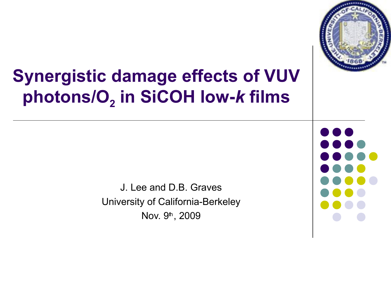

# **Synergistic damage effects of VUV photons/O<sup>2</sup> in SiCOH low-***k* **films**

J. Lee and D.B. Graves University of California-Berkeley Nov. 9<sup>th</sup>, 2009

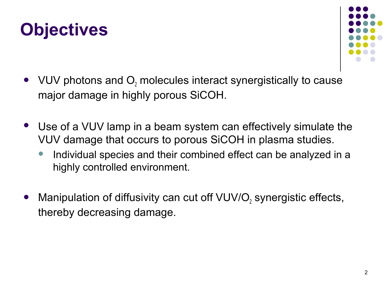## **Objectives**



- VUV photons and  $O_2$  molecules interact synergistically to cause major damage in highly porous SiCOH.
- Use of a VUV lamp in a beam system can effectively simulate the VUV damage that occurs to porous SiCOH in plasma studies.
	- Individual species and their combined effect can be analyzed in a highly controlled environment.
- Manipulation of diffusivity can cut off VUV/O<sub>2</sub> synergistic effects, thereby decreasing damage.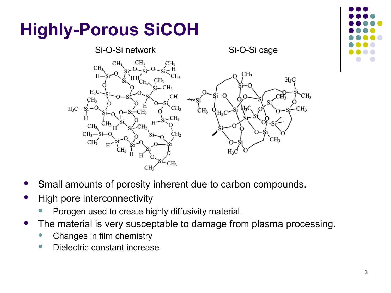

- Small amounts of porosity inherent due to carbon compounds.
- High pore interconnectivity
	- Porogen used to create highly diffusivity material.
- The material is very susceptable to damage from plasma processing.
	- Changes in film chemistry
	- Dielectric constant increase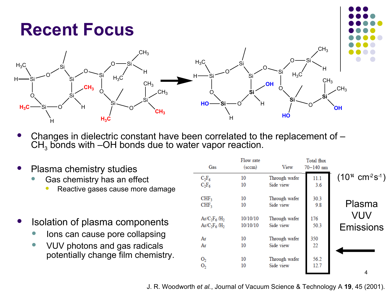#### **Recent Focus**



- Changes in dielectric constant have been correlated to the replacement of  $CH<sub>3</sub>$  bonds with –OH bonds due to water vapor reaction.
- Plasma chemistry studies
	- **Gas chemistry has an effect** 
		- Reactive gases cause more damage
- Isolation of plasma components
	- Ions can cause pore collapsing
	- VUV photons and gas radicals potentially change film chemistry.

|                                             | Total flux<br>$70 - 140$ nm | View          | Flow rate<br>$(\mathrm{sccm})$ | Gas              |  |
|---------------------------------------------|-----------------------------|---------------|--------------------------------|------------------|--|
| $(10^{4}$ cm <sup>2</sup> s <sup>-1</sup> ) | 11.1                        | Through wafer | 10                             | $C_2F_6$         |  |
|                                             | 3.6                         | Side view     | 10                             | $C_2F_6$         |  |
|                                             | 30.3                        | Through wafer | 10                             | CHF <sub>3</sub> |  |
| Plasma                                      | 9.8                         | Side view     | 10                             | CHF <sub>3</sub> |  |
| VUV                                         | 176                         | Through wafer | 10/10/10                       | $Ar/C_2F_6/H_2$  |  |
| Emissions                                   | 50.3                        | Side view     | 10/10/10                       | $Ar/C_2F_6/H_2$  |  |
|                                             | 350                         | Through wafer | 10                             | Ar               |  |
|                                             | 22                          | Side view     | 10                             | Ar               |  |
|                                             | 56.2                        | Through wafer | 10                             | O <sub>2</sub>   |  |
|                                             | 12.7                        | Side view     | 10                             | 0,               |  |
| 4                                           |                             |               |                                |                  |  |

J. R. Woodworth *et al.*, Journal of Vacuum Science & Technology A **19**, 45 (2001).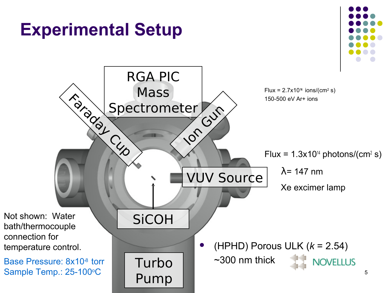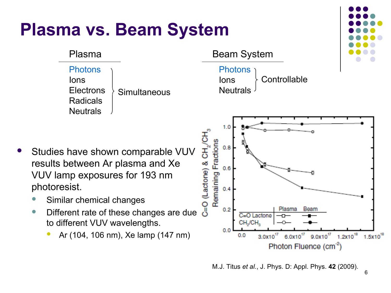## **Plasma vs. Beam System**





Ions **Controllable** 



- Studies have shown comparable VUV results between Ar plasma and Xe VUV lamp exposures for 193 nm photoresist.
	- Similar chemical changes
	- Different rate of these changes are due to different VUV wavelengths.
		- Ar (104, 106 nm), Xe lamp (147 nm)

M.J. Titus *et al.*, J. Phys. D: Appl. Phys. **42** (2009).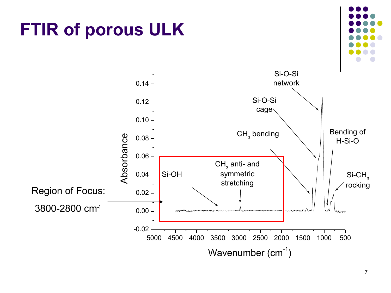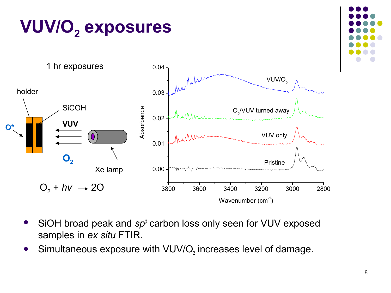

- SiOH broad peak and *sp<sup>3</sup>* carbon loss only seen for VUV exposed samples in *ex situ* FTIR.
- Simultaneous exposure with VUV/O<sub>2</sub> increases level of damage.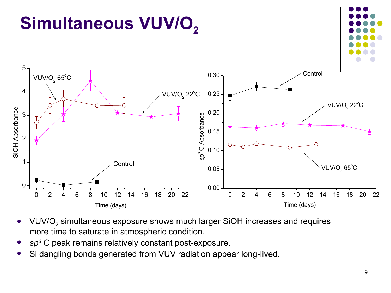

- VUV/O<sub>2</sub> simultaneous exposure shows much larger SiOH increases and requires more time to saturate in atmospheric condition.
- *sp<sup>3</sup>* C peak remains relatively constant post-exposure.
- Si dangling bonds generated from VUV radiation appear long-lived.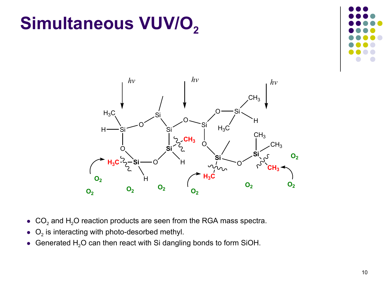# **Simultaneous VUV/O**<sub>2</sub>





- $CO<sub>2</sub>$  and H<sub>2</sub>O reaction products are seen from the RGA mass spectra.
- $\bullet$  O<sub>2</sub> is interacting with photo-desorbed methyl.
- Generated  $H_2O$  can then react with Si dangling bonds to form SiOH.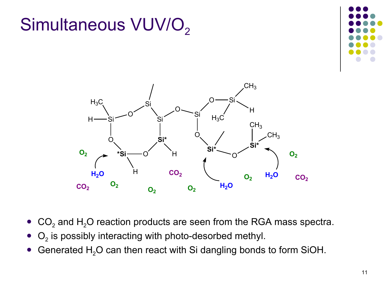



 $\bullet$   $O_2$  is possibly interacting with photo-desorbed methyl.

Simultaneous VUV/O<sub>2</sub>

Generated  $H<sub>2</sub>O$  can then react with Si dangling bonds to form SiOH.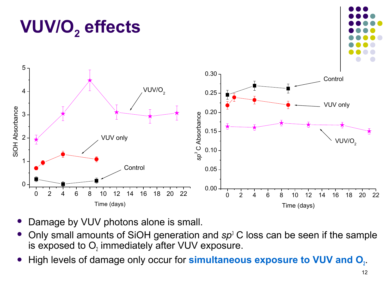#### 0 2 4 6 8 10 12 14 16 18 20 22 Time (days)

- Damage by VUV photons alone is small.
- Only small amounts of SiOH generation and *sp<sup>3</sup>* C loss can be seen if the sample is exposed to  $O_i$  immediately after VUV exposure.
- **•** High levels of damage only occur for **simultaneous exposure to VUV and O**<sup>2</sup>





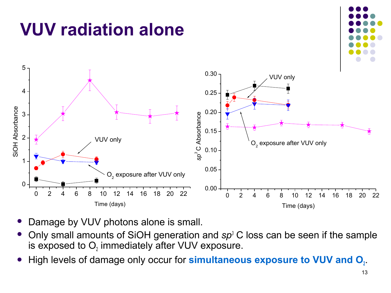

- Damage by VUV photons alone is small.
- Only small amounts of SiOH generation and *sp<sup>3</sup>* C loss can be seen if the sample is exposed to  $O_i$  immediately after VUV exposure.
- **•** High levels of damage only occur for **simultaneous exposure to VUV and O**<sup>2</sup>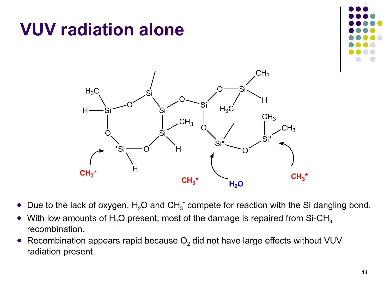## **VUV radiation alone**





- Due to the lack of oxygen,  $H_2O$  and  $CH_3^*$  compete for reaction with the Si dangling bond.
- With low amounts of H<sub>2</sub>O present, most of the damage is repaired from Si-CH<sub>3</sub> recombination.
- Recombination appears rapid because  $O_2$  did not have large effects without VUV radiation present.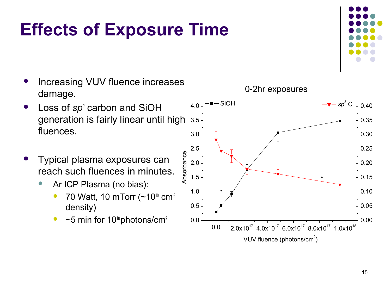## **Effects of Exposure Time**

- Increasing VUV fluence increases damage.
- Loss of *sp*<sup>3</sup> carbon and SiOH generation is fairly linear until high fluences.
- Typical plasma exposures can reach such fluences in minutes.
	- Ar ICP Plasma (no bias):
		- 70 Watt, 10 mTorr  $(-10^{10} \text{ cm}^3)$ density)
		- $~\sim$  5 min for 10<sup>18</sup> photons/cm<sup>2</sup>



0-2hr exposures

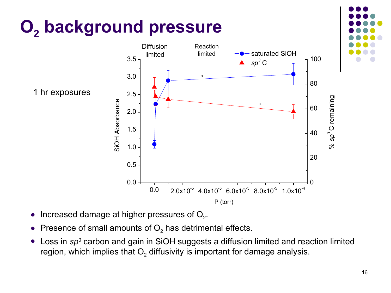

- Increased damage at higher pressures of  $O<sub>2</sub>$ .
- Presence of small amounts of  $O_2$  has detrimental effects.
- Loss in *sp<sup>3</sup>* carbon and gain in SiOH suggests a diffusion limited and reaction limited region, which implies that  $\mathsf{O}_2$  diffusivity is important for damage analysis.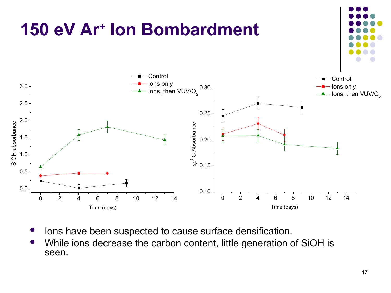![](_page_16_Figure_0.jpeg)

- Ions have been suspected to cause surface densification.
- While ions decrease the carbon content, little generation of SiOH is seen.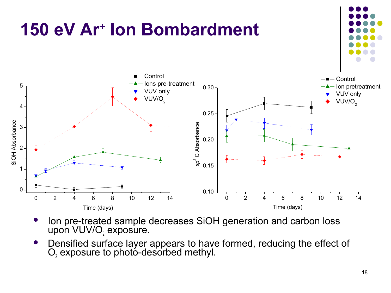![](_page_17_Figure_0.jpeg)

- Ion pre-treated sample decreases SiOH generation and carbon loss upon VUV/O $_2$  exposure.
- Densified surface layer appears to have formed, reducing the effect of  $O<sub>2</sub>$  exposure to photo-desorbed methyl.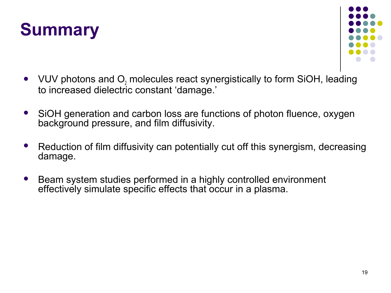![](_page_18_Picture_0.jpeg)

![](_page_18_Figure_1.jpeg)

- VUV photons and  $O_2$  molecules react synergistically to form SiOH, leading to increased dielectric constant 'damage.'
- SiOH generation and carbon loss are functions of photon fluence, oxygen background pressure, and film diffusivity.
- Reduction of film diffusivity can potentially cut off this synergism, decreasing damage.
- Beam system studies performed in a highly controlled environment effectively simulate specific effects that occur in a plasma.